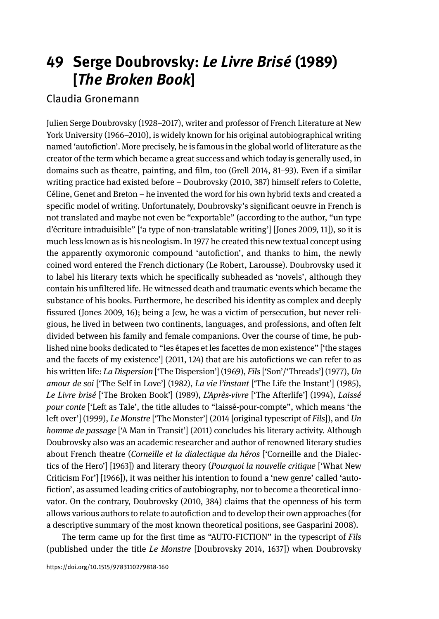# **49 Serge Doubrovsky:** *Le Livre Brisé* **(1989) [***The Broken Book***]**

### Claudia Gronemann

Julien Serge Doubrovsky (1928–2017), writer and professor of French Literature at New York University (1966–2010), is widely known for his original autobiographical writing named 'autofiction'. More precisely, he is famous in the global world of literature as the creator of the term which became a great success and which today is generally used, in domains such as theatre, painting, and film, too (Grell 2014, 81–93). Even if a similar writing practice had existed before – Doubrovsky (2010, 387) himself refers to Colette, Céline, Genet and Breton – he invented the word for his own hybrid texts and created a specific model of writing. Unfortunately, Doubrovsky's significant oeuvre in French is not translated and maybe not even be "exportable" (according to the author, "un type d'écriture intraduisible" ['a type of non-translatable writing'] [Jones 2009, 11]), so it is much less known as is his neologism. In 1977 he created this new textual concept using the apparently oxymoronic compound 'autofiction', and thanks to him, the newly coined word entered the French dictionary (Le Robert, Larousse). Doubrovsky used it to label his literary texts which he specifically subheaded as 'novels', although they contain his unfiltered life. He witnessed death and traumatic events which became the substance of his books. Furthermore, he described his identity as complex and deeply fissured (Jones 2009, 16); being a Jew, he was a victim of persecution, but never religious, he lived in between two continents, languages, and professions, and often felt divided between his family and female companions. Over the course of time, he published nine books dedicated to "les étapes et les facettes de mon existence" ['the stages and the facets of my existence'] (2011, 124) that are his autofictions we can refer to as his written life: *La Dispersion* ['The Dispersion'] (1969), *Fils* ['Son'/'Threads'] (1977), *Un amour de soi* ['The Self in Love'] (1982), *La vie l'instant* ['The Life the Instant'] (1985), *Le Livre brisé* ['The Broken Book'] (1989), *L'Après-vivre* ['The Afterlife'] (1994), *Laissé pour conte* ['Left as Tale', the title alludes to "laissé-pour-compte", which means 'the left over'] (1999), *Le Monstre* ['The Monster'] (2014 [original typescript of *Fils*]), and *Un homme de passage* ['A Man in Transit'] (2011) concludes his literary activity. Although Doubrovsky also was an academic researcher and author of renowned literary studies about French theatre (*Corneille et la dialectique du héros* ['Corneille and the Dialectics of the Hero'] [1963]) and literary theory (*Pourquoi la nouvelle critique* ['What New Criticism For'] [1966]), it was neither his intention to found a 'new genre' called 'autofiction', as assumed leading critics of autobiography, nor to become a theoretical innovator. On the contrary, Doubrovsky (2010, 384) claims that the openness of his term allows various authors to relate to autofiction and to develop their own approaches (for a descriptive summary of the most known theoretical positions, see Gasparini 2008).

The term came up for the first time as "AUTO-FICTION" in the typescript of *Fils* (published under the title *Le Monstre* [Doubrovsky 2014, 1637]) when Doubrovsky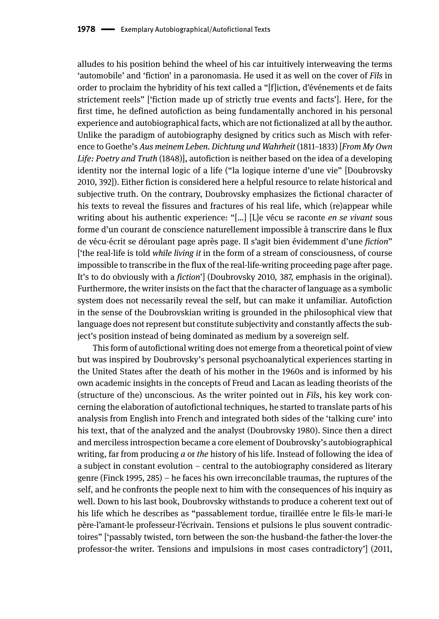alludes to his position behind the wheel of his car intuitively interweaving the terms 'automobile' and 'fiction' in a paronomasia. He used it as well on the cover of *Fils* in order to proclaim the hybridity of his text called a "[f]iction, d'événements et de faits strictement reels" ['fiction made up of strictly true events and facts']. Here, for the first time, he defined autofiction as being fundamentally anchored in his personal experience and autobiographical facts, which are not fictionalized at all by the author. Unlike the paradigm of autobiography designed by critics such as Misch with reference to Goethe's *Aus meinem Leben. Dichtung und Wahrheit* (1811–1833) [*From My Own Life: Poetry and Truth* (1848)], autofiction is neither based on the idea of a developing identity nor the internal logic of a life ("la logique interne d'une vie" [Doubrovsky 2010, 392]). Either fiction is considered here a helpful resource to relate historical and subjective truth. On the contrary, Doubrovsky emphasizes the fictional character of his texts to reveal the fissures and fractures of his real life, which (re)appear while writing about his authentic experience: "[…] [L]e vécu se raconte *en se vivant* sous forme d'un courant de conscience naturellement impossible à transcrire dans le flux de vécu-écrit se déroulant page après page. Il s'agit bien évidemment d'une *fiction*" ['the real-life is told *while living it* in the form of a stream of consciousness, of course impossible to transcribe in the flux of the real-life-writing proceeding page after page. It's to do obviously with a *fiction*'] (Doubrovsky 2010, 387, emphasis in the original). Furthermore, the writer insists on the fact that the character of language as a symbolic system does not necessarily reveal the self, but can make it unfamiliar. Autofiction in the sense of the Doubrovskian writing is grounded in the philosophical view that language does not represent but constitute subjectivity and constantly affects the subject's position instead of being dominated as medium by a sovereign self.

This form of autofictional writing does not emerge from a theoretical point of view but was inspired by Doubrovsky's personal psychoanalytical experiences starting in the United States after the death of his mother in the 1960s and is informed by his own academic insights in the concepts of Freud and Lacan as leading theorists of the (structure of the) unconscious. As the writer pointed out in *Fils*, his key work concerning the elaboration of autofictional techniques, he started to translate parts of his analysis from English into French and integrated both sides of the 'talking cure' into his text, that of the analyzed and the analyst (Doubrovsky 1980). Since then a direct and merciless introspection became a core element of Doubrovsky's autobiographical writing, far from producing *a* or *the* history of his life. Instead of following the idea of a subject in constant evolution – central to the autobiography considered as literary genre (Finck 1995, 285) – he faces his own irreconcilable traumas, the ruptures of the self, and he confronts the people next to him with the consequences of his inquiry as well. Down to his last book, Doubrovsky withstands to produce a coherent text out of his life which he describes as "passablement tordue, tiraillée entre le fils-le mari-le père-l'amant-le professeur-l'écrivain. Tensions et pulsions le plus souvent contradictoires" ['passably twisted, torn between the son-the husband-the father-the lover-the professor-the writer. Tensions and impulsions in most cases contradictory'] (2011,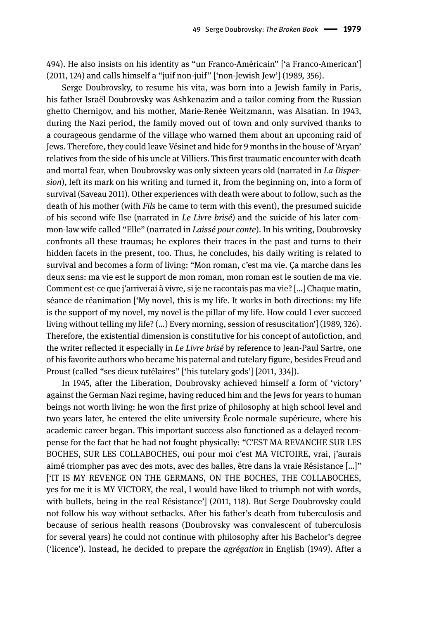494). He also insists on his identity as "un Franco-Américain" ['a Franco-American'] (2011, 124) and calls himself a "juif non-juif" ['non-Jewish Jew'] (1989, 356).

Serge Doubrovsky, to resume his vita, was born into a Jewish family in Paris, his father Israël Doubrovsky was Ashkenazim and a tailor coming from the Russian ghetto Chernigov, and his mother, Marie-Renée Weitzmann, was Alsatian. In 1943, during the Nazi period, the family moved out of town and only survived thanks to a courageous gendarme of the village who warned them about an upcoming raid of Jews. Therefore, they could leave Vésinet and hide for 9 months in the house of 'Aryan' relatives from the side of his uncle at Villiers. This first traumatic encounter with death and mortal fear, when Doubrovsky was only sixteen years old (narrated in *La Dispersion*), left its mark on his writing and turned it, from the beginning on, into a form of survival (Saveau 2011). Other experiences with death were about to follow, such as the death of his mother (with *Fils* he came to term with this event), the presumed suicide of his second wife Ilse (narrated in *Le Livre brisé*) and the suicide of his later common-law wife called "Elle" (narrated in *Laissé pour conte*). In his writing, Doubrovsky confronts all these traumas; he explores their traces in the past and turns to their hidden facets in the present, too. Thus, he concludes, his daily writing is related to survival and becomes a form of living: "Mon roman, c'est ma vie. Ça marche dans les deux sens: ma vie est le support de mon roman, mon roman est le soutien de ma vie. Comment est-ce que j'arriverai à vivre, si je ne racontais pas ma vie? […] Chaque matin, séance de réanimation ['My novel, this is my life. It works in both directions: my life is the support of my novel, my novel is the pillar of my life. How could I ever succeed living without telling my life? (…) Every morning, session of resuscitation'] (1989, 326). Therefore, the existential dimension is constitutive for his concept of autofiction, and the writer reflected it especially in *Le Livre brisé* by reference to Jean-Paul Sartre, one of his favorite authors who became his paternal and tutelary figure, besides Freud and Proust (called "ses dieux tutélaires" ['his tutelary gods'] [2011, 334]).

In 1945, after the Liberation, Doubrovsky achieved himself a form of 'victory' against the German Nazi regime, having reduced him and the Jews for years to human beings not worth living: he won the first prize of philosophy at high school level and two years later, he entered the elite university École normale supérieure, where his academic career began. This important success also functioned as a delayed recompense for the fact that he had not fought physically: "C'EST MA REVANCHE SUR LES BOCHES, SUR LES COLLABOCHES, oui pour moi c'est MA VICTOIRE, vrai, j'aurais aimé triompher pas avec des mots, avec des balles, être dans la vraie Résistance […]" ['IT IS MY REVENGE ON THE GERMANS, ON THE BOCHES, THE COLLABOCHES, yes for me it is MY VICTORY, the real, I would have liked to triumph not with words, with bullets, being in the real Résistance'] (2011, 118). But Serge Doubrovsky could not follow his way without setbacks. After his father's death from tuberculosis and because of serious health reasons (Doubrovsky was convalescent of tuberculosis for several years) he could not continue with philosophy after his Bachelor's degree ('licence'). Instead, he decided to prepare the *agrégation* in English (1949). After a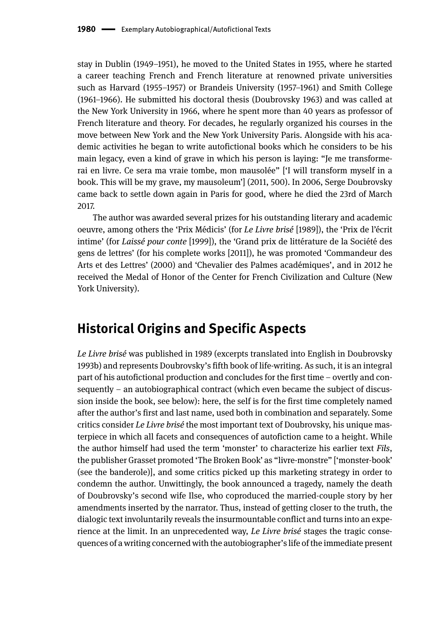stay in Dublin (1949–1951), he moved to the United States in 1955, where he started a career teaching French and French literature at renowned private universities such as Harvard (1955–1957) or Brandeis University (1957–1961) and Smith College (1961–1966). He submitted his doctoral thesis (Doubrovsky 1963) and was called at the New York University in 1966, where he spent more than 40 years as professor of French literature and theory. For decades, he regularly organized his courses in the move between New York and the New York University Paris. Alongside with his academic activities he began to write autofictional books which he considers to be his main legacy, even a kind of grave in which his person is laying: "Je me transformerai en livre. Ce sera ma vraie tombe, mon mausolée" ['I will transform myself in a book. This will be my grave, my mausoleum'] (2011, 500). In 2006, Serge Doubrovsky came back to settle down again in Paris for good, where he died the 23rd of March 2017.

The author was awarded several prizes for his outstanding literary and academic oeuvre, among others the 'Prix Médicis' (for *Le Livre brisé* [1989]), the 'Prix de l'écrit intime' (for *Laissé pour conte* [1999]), the 'Grand prix de littérature de la Société des gens de lettres' (for his complete works [2011]), he was promoted 'Commandeur des Arts et des Lettres' (2000) and 'Chevalier des Palmes académiques', and in 2012 he received the Medal of Honor of the Center for French Civilization and Culture (New York University).

### **Historical Origins and Specific Aspects**

*Le Livre brisé* was published in 1989 (excerpts translated into English in Doubrovsky 1993b) and represents Doubrovsky's fifth book of life-writing. As such, it is an integral part of his autofictional production and concludes for the first time – overtly and consequently – an autobiographical contract (which even became the subject of discussion inside the book, see below): here, the self is for the first time completely named after the author's first and last name, used both in combination and separately. Some critics consider *Le Livre brisé* the most important text of Doubrovsky, his unique masterpiece in which all facets and consequences of autofiction came to a height. While the author himself had used the term 'monster' to characterize his earlier text *Fils*, the publisher Grasset promoted 'The Broken Book' as "livre-monstre" ['monster-book' (see the banderole)], and some critics picked up this marketing strategy in order to condemn the author. Unwittingly, the book announced a tragedy, namely the death of Doubrovsky's second wife Ilse, who coproduced the married-couple story by her amendments inserted by the narrator. Thus, instead of getting closer to the truth, the dialogic text involuntarily reveals the insurmountable conflict and turns into an experience at the limit. In an unprecedented way, *Le Livre brisé* stages the tragic consequences of a writing concerned with the autobiographer's life of the immediate present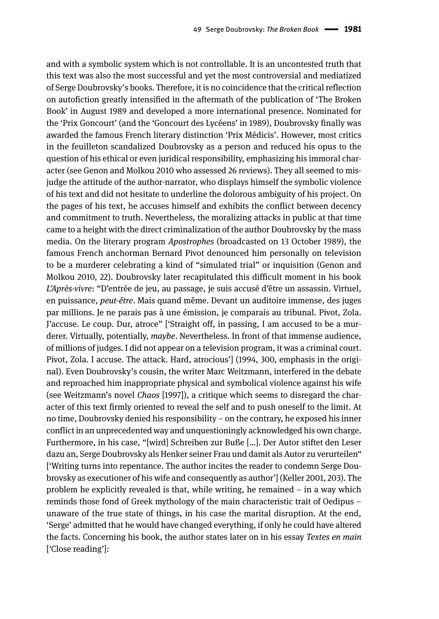and with a symbolic system which is not controllable. It is an uncontested truth that this text was also the most successful and yet the most controversial and mediatized of Serge Doubrovsky's books. Therefore, it is no coincidence that the critical reflection on autofiction greatly intensified in the aftermath of the publication of 'The Broken Book' in August 1989 and developed a more international presence. Nominated for the 'Prix Goncourt' (and the 'Goncourt des Lycéens' in 1989), Doubrovsky finally was awarded the famous French literary distinction 'Prix Médicis'. However, most critics in the feuilleton scandalized Doubrovsky as a person and reduced his opus to the question of his ethical or even juridical responsibility, emphasizing his immoral character (see Genon and Molkou 2010 who assessed 26 reviews). They all seemed to misjudge the attitude of the author-narrator, who displays himself the symbolic violence of his text and did not hesitate to underline the dolorous ambiguity of his project. On the pages of his text, he accuses himself and exhibits the conflict between decency and commitment to truth. Nevertheless, the moralizing attacks in public at that time came to a height with the direct criminalization of the author Doubrovsky by the mass media. On the literary program *Apostrophes* (broadcasted on 13 October 1989), the famous French anchorman Bernard Pivot denounced him personally on television to be a murderer celebrating a kind of "simulated trial" or inquisition (Genon and Molkou 2010, 22). Doubrovsky later recapitulated this difficult moment in his book *L'Après-vivre*: "D'entrée de jeu, au passage, je suis accusé d'être un assassin. Virtuel, en puissance, *peut-être*. Mais quand même. Devant un auditoire immense, des juges par millions. Je ne parais pas à une émission, je comparais au tribunal. Pivot, Zola. J'accuse. Le coup. Dur, atroce" ['Straight off, in passing, I am accused to be a murderer. Virtually, potentially, *maybe*. Nevertheless. In front of that immense audience, of millions of judges. I did not appear on a television program, it was a criminal court. Pivot, Zola. I accuse. The attack. Hard, atrocious'] (1994, 300, emphasis in the original). Even Doubrovsky's cousin, the writer Marc Weitzmann, interfered in the debate and reproached him inappropriate physical and symbolical violence against his wife (see Weitzmann's novel *Chaos* [1997]), a critique which seems to disregard the character of this text firmly oriented to reveal the self and to push oneself to the limit. At no time, Doubrovsky denied his responsibility – on the contrary, he exposed his inner conflict in an unprecedented way and unquestioningly acknowledged his own charge. Furthermore, in his case, "[wird] Schreiben zur Buße […]. Der Autor stiftet den Leser dazu an, Serge Doubrovsky als Henker seiner Frau und damit als Autor zu verurteilen" ['Writing turns into repentance. The author incites the reader to condemn Serge Doubrovsky as executioner of his wife and consequently as author'] (Keller 2001, 203). The problem he explicitly revealed is that, while writing, he remained – in a way which reminds those fond of Greek mythology of the main characteristic trait of Oedipus – unaware of the true state of things, in his case the marital disruption. At the end, 'Serge' admitted that he would have changed everything, if only he could have altered the facts. Concerning his book, the author states later on in his essay *Textes en main* ['Close reading']: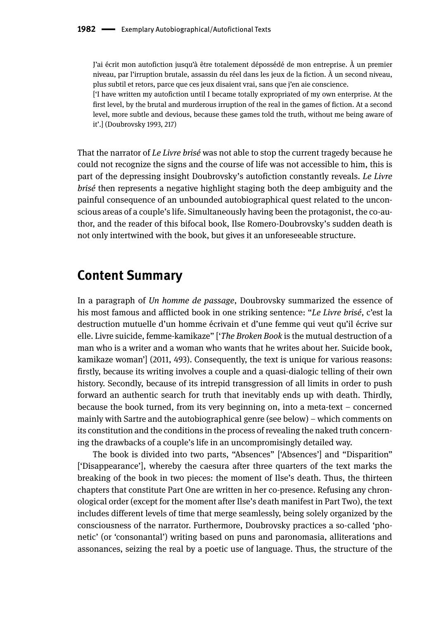J'ai écrit mon autofiction jusqu'à être totalement dépossédé de mon entreprise. À un premier niveau, par l'irruption brutale, assassin du réel dans les jeux de la fiction. À un second niveau, plus subtil et retors, parce que ces jeux disaient vrai, sans que j'en aie conscience.

['I have written my autofiction until I became totally expropriated of my own enterprise. At the first level, by the brutal and murderous irruption of the real in the games of fiction. At a second level, more subtle and devious, because these games told the truth, without me being aware of it'.] (Doubrovsky 1993, 217)

That the narrator of *Le Livre brisé* was not able to stop the current tragedy because he could not recognize the signs and the course of life was not accessible to him, this is part of the depressing insight Doubrovsky's autofiction constantly reveals. *Le Livre brisé* then represents a negative highlight staging both the deep ambiguity and the painful consequence of an unbounded autobiographical quest related to the unconscious areas of a couple's life. Simultaneously having been the protagonist, the co-author, and the reader of this bifocal book, Ilse Romero-Doubrovsky's sudden death is not only intertwined with the book, but gives it an unforeseeable structure.

### **Content Summary**

In a paragraph of *Un homme de passage*, Doubrovsky summarized the essence of his most famous and afflicted book in one striking sentence: "*Le Livre brisé*, c'est la destruction mutuelle d'un homme écrivain et d'une femme qui veut qu'il écrive sur elle. Livre suicide, femme-kamikaze" ['*The Broken Book* is the mutual destruction of a man who is a writer and a woman who wants that he writes about her. Suicide book, kamikaze woman'] (2011, 493). Consequently, the text is unique for various reasons: firstly, because its writing involves a couple and a quasi-dialogic telling of their own history. Secondly, because of its intrepid transgression of all limits in order to push forward an authentic search for truth that inevitably ends up with death. Thirdly, because the book turned, from its very beginning on, into a meta-text – concerned mainly with Sartre and the autobiographical genre (see below) – which comments on its constitution and the conditions in the process of revealing the naked truth concerning the drawbacks of a couple's life in an uncompromisingly detailed way.

The book is divided into two parts, "Absences" ['Absences'] and "Disparition" ['Disappearance'], whereby the caesura after three quarters of the text marks the breaking of the book in two pieces: the moment of Ilse's death. Thus, the thirteen chapters that constitute Part One are written in her co-presence. Refusing any chronological order (except for the moment after Ilse's death manifest in Part Two), the text includes different levels of time that merge seamlessly, being solely organized by the consciousness of the narrator. Furthermore, Doubrovsky practices a so-called 'phonetic' (or 'consonantal') writing based on puns and paronomasia, alliterations and assonances, seizing the real by a poetic use of language. Thus, the structure of the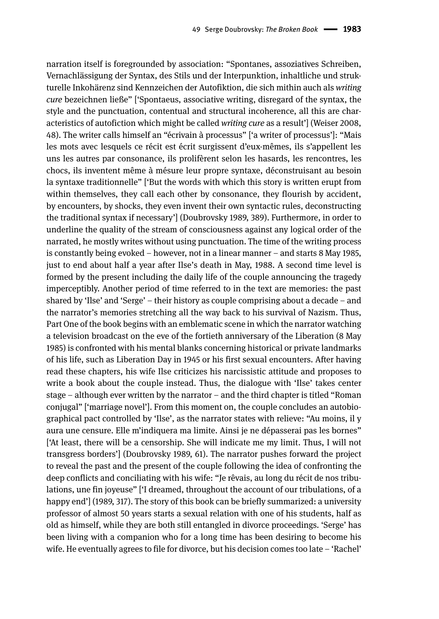narration itself is foregrounded by association: "Spontanes, assoziatives Schreiben, Vernachlässigung der Syntax, des Stils und der Interpunktion, inhaltliche und strukturelle Inkohärenz sind Kennzeichen der Autofiktion, die sich mithin auch als *writing cure* bezeichnen ließe" ['Spontaeus, associative writing, disregard of the syntax, the style and the punctuation, contentual and structural incoherence, all this are characteristics of autofiction which might be called *writing cure* as a result'] (Weiser 2008, 48). The writer calls himself an "écrivain à processus" ['a writer of processus']: "Mais les mots avec lesquels ce récit est écrit surgissent d'eux-mêmes, ils s'appellent les uns les autres par consonance, ils prolifèrent selon les hasards, les rencontres, les chocs, ils inventent même à mésure leur propre syntaxe, déconstruisant au besoin la syntaxe traditionnelle" ['But the words with which this story is written erupt from within themselves, they call each other by consonance, they flourish by accident, by encounters, by shocks, they even invent their own syntactic rules, deconstructing the traditional syntax if necessary'] (Doubrovsky 1989, 389). Furthermore, in order to underline the quality of the stream of consciousness against any logical order of the narrated, he mostly writes without using punctuation. The time of the writing process is constantly being evoked – however, not in a linear manner – and starts 8 May 1985, just to end about half a year after Ilse's death in May, 1988. A second time level is formed by the present including the daily life of the couple announcing the tragedy imperceptibly. Another period of time referred to in the text are memories: the past shared by 'Ilse' and 'Serge' – their history as couple comprising about a decade – and the narrator's memories stretching all the way back to his survival of Nazism. Thus, Part One of the book begins with an emblematic scene in which the narrator watching a television broadcast on the eve of the fortieth anniversary of the Liberation (8 May 1985) is confronted with his mental blanks concerning historical or private landmarks of his life, such as Liberation Day in 1945 or his first sexual encounters. After having read these chapters, his wife Ilse criticizes his narcissistic attitude and proposes to write a book about the couple instead. Thus, the dialogue with 'Ilse' takes center stage – although ever written by the narrator – and the third chapter is titled "Roman conjugal" ['marriage novel']. From this moment on, the couple concludes an autobiographical pact controlled by 'Ilse', as the narrator states with relieve: "Au moins, il y aura une censure. Elle m'indiquera ma limite. Ainsi je ne dépasserai pas les bornes" ['At least, there will be a censorship. She will indicate me my limit. Thus, I will not transgress borders'] (Doubrovsky 1989, 61). The narrator pushes forward the project to reveal the past and the present of the couple following the idea of confronting the deep conflicts and conciliating with his wife: "Je rêvais, au long du récit de nos tribulations, une fin joyeuse" ['I dreamed, throughout the account of our tribulations, of a happy end'] (1989, 317). The story of this book can be briefly summarized: a university professor of almost 50 years starts a sexual relation with one of his students, half as old as himself, while they are both still entangled in divorce proceedings. 'Serge' has been living with a companion who for a long time has been desiring to become his wife. He eventually agrees to file for divorce, but his decision comes too late – 'Rachel'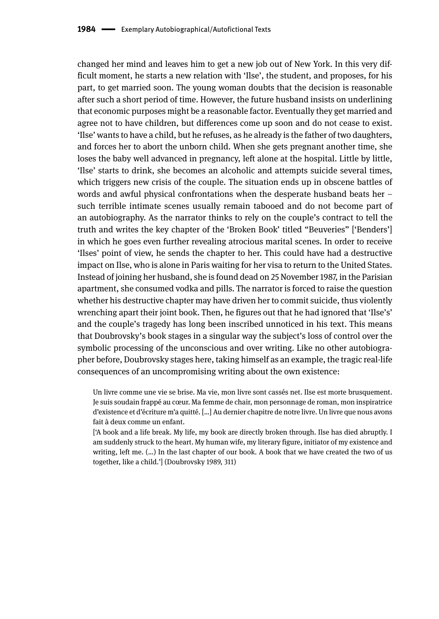changed her mind and leaves him to get a new job out of New York. In this very difficult moment, he starts a new relation with 'Ilse', the student, and proposes, for his part, to get married soon. The young woman doubts that the decision is reasonable after such a short period of time. However, the future husband insists on underlining that economic purposes might be a reasonable factor. Eventually they get married and agree not to have children, but differences come up soon and do not cease to exist. 'Ilse' wants to have a child, but he refuses, as he already is the father of two daughters, and forces her to abort the unborn child. When she gets pregnant another time, she loses the baby well advanced in pregnancy, left alone at the hospital. Little by little, 'Ilse' starts to drink, she becomes an alcoholic and attempts suicide several times, which triggers new crisis of the couple. The situation ends up in obscene battles of words and awful physical confrontations when the desperate husband beats her – such terrible intimate scenes usually remain tabooed and do not become part of an autobiography. As the narrator thinks to rely on the couple's contract to tell the truth and writes the key chapter of the 'Broken Book' titled "Beuveries" ['Benders'] in which he goes even further revealing atrocious marital scenes. In order to receive 'Ilses' point of view, he sends the chapter to her. This could have had a destructive impact on Ilse, who is alone in Paris waiting for her visa to return to the United States. Instead of joining her husband, she is found dead on 25 November 1987, in the Parisian apartment, she consumed vodka and pills. The narrator is forced to raise the question whether his destructive chapter may have driven her to commit suicide, thus violently wrenching apart their joint book. Then, he figures out that he had ignored that 'Ilse's' and the couple's tragedy has long been inscribed unnoticed in his text. This means that Doubrovsky's book stages in a singular way the subject's loss of control over the symbolic processing of the unconscious and over writing. Like no other autobiographer before, Doubrovsky stages here, taking himself as an example, the tragic real-life consequences of an uncompromising writing about the own existence:

Un livre comme une vie se brise. Ma vie, mon livre sont cassés net. Ilse est morte brusquement. Je suis soudain frappé au cœur. Ma femme de chair, mon personnage de roman, mon inspiratrice d'existence et d'écriture m'a quitté. […] Au dernier chapitre de notre livre. Un livre que nous avons fait à deux comme un enfant.

['A book and a life break. My life, my book are directly broken through. Ilse has died abruptly. I am suddenly struck to the heart. My human wife, my literary figure, initiator of my existence and writing, left me. (…) In the last chapter of our book. A book that we have created the two of us together, like a child.'] (Doubrovsky 1989, 311)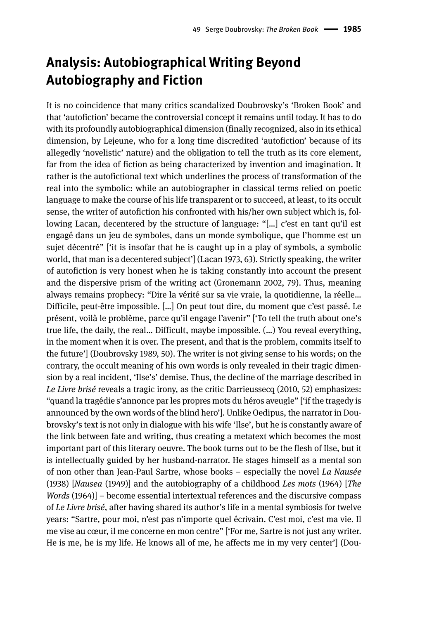## **Analysis: Autobiographical Writing Beyond Autobiography and Fiction**

It is no coincidence that many critics scandalized Doubrovsky's 'Broken Book' and that 'autofiction' became the controversial concept it remains until today. It has to do with its profoundly autobiographical dimension (finally recognized, also in its ethical dimension, by Lejeune, who for a long time discredited 'autofiction' because of its allegedly 'novelistic' nature) and the obligation to tell the truth as its core element, far from the idea of fiction as being characterized by invention and imagination. It rather is the autofictional text which underlines the process of transformation of the real into the symbolic: while an autobiographer in classical terms relied on poetic language to make the course of his life transparent or to succeed, at least, to its occult sense, the writer of autofiction his confronted with his/her own subject which is, following Lacan, decentered by the structure of language: "[…] c'est en tant qu'il est engagé dans un jeu de symboles, dans un monde symbolique, que l'homme est un sujet décentré" ['it is insofar that he is caught up in a play of symbols, a symbolic world, that man is a decentered subject'] (Lacan 1973, 63). Strictly speaking, the writer of autofiction is very honest when he is taking constantly into account the present and the dispersive prism of the writing act (Gronemann 2002, 79). Thus, meaning always remains prophecy: "Dire la vérité sur sa vie vraie, la quotidienne, la réelle… Difficile, peut-être impossible. […] On peut tout dire, du moment que c'est passé. Le présent, voilà le problème, parce qu'il engage l'avenir" ['To tell the truth about one's true life, the daily, the real… Difficult, maybe impossible. (…) You reveal everything, in the moment when it is over. The present, and that is the problem, commits itself to the future'] (Doubrovsky 1989, 50). The writer is not giving sense to his words; on the contrary, the occult meaning of his own words is only revealed in their tragic dimension by a real incident, 'Ilse's' demise. Thus, the decline of the marriage described in *Le Livre brisé* reveals a tragic irony, as the critic Darrieussecq (2010, 52) emphasizes: "quand la tragédie s'annonce par les propres mots du héros aveugle" ['if the tragedy is announced by the own words of the blind hero']. Unlike Oedipus, the narrator in Doubrovsky's text is not only in dialogue with his wife 'Ilse', but he is constantly aware of the link between fate and writing, thus creating a metatext which becomes the most important part of this literary oeuvre. The book turns out to be the flesh of Ilse, but it is intellectually guided by her husband-narrator. He stages himself as a mental son of non other than Jean-Paul Sartre, whose books – especially the novel *La Nausée* (1938) [*Nausea* (1949)] and the autobiography of a childhood *Les mots* (1964) [*The Words* (1964)] – become essential intertextual references and the discursive compass of *Le Livre brisé*, after having shared its author's life in a mental symbiosis for twelve years: "Sartre, pour moi, n'est pas n'importe quel écrivain. C'est moi, c'est ma vie. Il me vise au cœur, il me concerne en mon centre" ['For me, Sartre is not just any writer. He is me, he is my life. He knows all of me, he affects me in my very center'] (Dou-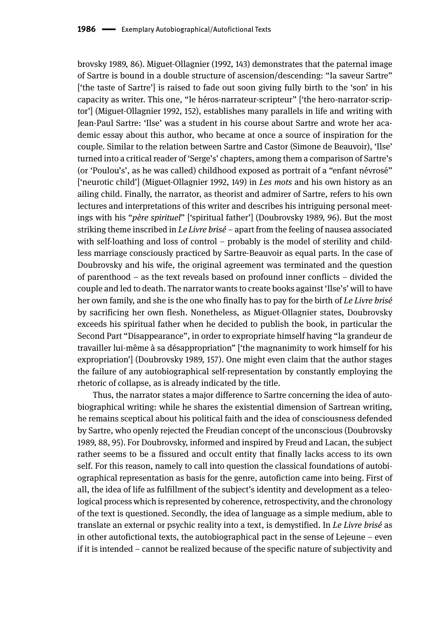brovsky 1989, 86). Miguet-Ollagnier (1992, 143) demonstrates that the paternal image of Sartre is bound in a double structure of ascension/descending: "la saveur Sartre" ['the taste of Sartre'] is raised to fade out soon giving fully birth to the 'son' in his capacity as writer. This one, "le héros-narrateur-scripteur" ['the hero-narrator-scriptor'] (Miguet-Ollagnier 1992, 152), establishes many parallels in life and writing with Jean-Paul Sartre: 'Ilse' was a student in his course about Sartre and wrote her academic essay about this author, who became at once a source of inspiration for the couple. Similar to the relation between Sartre and Castor (Simone de Beauvoir), 'Ilse' turned into a critical reader of 'Serge's' chapters, among them a comparison of Sartre's (or 'Poulou's', as he was called) childhood exposed as portrait of a "enfant névrosé" ['neurotic child'] (Miguet-Ollagnier 1992, 149) in *Les mots* and his own history as an ailing child. Finally, the narrator, as theorist and admirer of Sartre, refers to his own lectures and interpretations of this writer and describes his intriguing personal meetings with his "*père spirituel*" ['spiritual father'] (Doubrovsky 1989, 96). But the most striking theme inscribed in *Le Livre brisé* – apart from the feeling of nausea associated with self-loathing and loss of control – probably is the model of sterility and childless marriage consciously practiced by Sartre-Beauvoir as equal parts. In the case of Doubrovsky and his wife, the original agreement was terminated and the question of parenthood – as the text reveals based on profound inner conflicts – divided the couple and led to death. The narrator wants to create books against 'Ilse's' will to have her own family, and she is the one who finally has to pay for the birth of *Le Livre brisé* by sacrificing her own flesh. Nonetheless, as Miguet-Ollagnier states, Doubrovsky exceeds his spiritual father when he decided to publish the book, in particular the Second Part "Disappearance", in order to expropriate himself having "la grandeur de travailler lui-même à sa désappropriation" ['the magnanimity to work himself for his expropriation'] (Doubrovsky 1989, 157). One might even claim that the author stages the failure of any autobiographical self-representation by constantly employing the rhetoric of collapse, as is already indicated by the title.

Thus, the narrator states a major difference to Sartre concerning the idea of autobiographical writing: while he shares the existential dimension of Sartrean writing, he remains sceptical about his political faith and the idea of consciousness defended by Sartre, who openly rejected the Freudian concept of the unconscious (Doubrovsky 1989, 88, 95). For Doubrovsky, informed and inspired by Freud and Lacan, the subject rather seems to be a fissured and occult entity that finally lacks access to its own self. For this reason, namely to call into question the classical foundations of autobiographical representation as basis for the genre, autofiction came into being. First of all, the idea of life as fulfillment of the subject's identity and development as a teleological process which is represented by coherence, retrospectivity, and the chronology of the text is questioned. Secondly, the idea of language as a simple medium, able to translate an external or psychic reality into a text, is demystified. In *Le Livre brisé* as in other autofictional texts, the autobiographical pact in the sense of Lejeune – even if it is intended – cannot be realized because of the specific nature of subjectivity and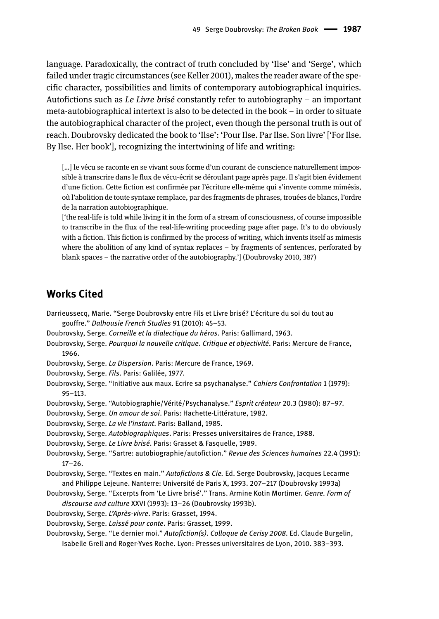language. Paradoxically, the contract of truth concluded by 'Ilse' and 'Serge', which failed under tragic circumstances (see Keller 2001), makes the reader aware of the specific character, possibilities and limits of contemporary autobiographical inquiries. Autofictions such as *Le Livre brisé* constantly refer to autobiography – an important meta-autobiographical intertext is also to be detected in the book – in order to situate the autobiographical character of the project, even though the personal truth is out of reach. Doubrovsky dedicated the book to 'Ilse': 'Pour Ilse. Par Ilse. Son livre' ['For Ilse. By Ilse. Her book'], recognizing the intertwining of life and writing:

[…] le vécu se raconte en se vivant sous forme d'un courant de conscience naturellement impossible à transcrire dans le flux de vécu-écrit se déroulant page après page. Il s'agit bien évidement d'une fiction. Cette fiction est confirmée par l'écriture elle-même qui s'invente comme mimésis, où l'abolition de toute syntaxe remplace, par des fragments de phrases, trouées de blancs, l'ordre de la narration autobiographique.

['the real-life is told while living it in the form of a stream of consciousness, of course impossible to transcribe in the flux of the real-life-writing proceeding page after page. It's to do obviously with a fiction. This fiction is confirmed by the process of writing, which invents itself as mimesis where the abolition of any kind of syntax replaces – by fragments of sentences, perforated by blank spaces – the narrative order of the autobiography.'] (Doubrovsky 2010, 387)

#### **Works Cited**

Darrieussecq, Marie. "Serge Doubrovsky entre Fils et Livre brisé? L'écriture du soi du tout au gouffre." *Dalhousie French Studies* 91 (2010): 45–53.

- Doubrovsky, Serge. *Corneille et la dialectique du héros*. Paris: Gallimard, 1963.
- Doubrovsky, Serge. *Pourquoi la nouvelle critique*. *Critique et objectivité*. Paris: Mercure de France, 1966.

Doubrovsky, Serge. *La Dispersion*. Paris: Mercure de France, 1969.

Doubrovsky, Serge. *Fils*. Paris: Galilée, 1977.

Doubrovsky, Serge. "Initiative aux maux. Ecrire sa psychanalyse." *Cahiers Confrontation* 1 (1979): 95–113.

Doubrovsky, Serge. "Autobiographie/Vérité/Psychanalyse." *Esprit créateur* 20.3 (1980): 87–97.

Doubrovsky, Serge. *Un amour de soi*. Paris: Hachette-Littérature, 1982.

Doubrovsky, Serge. *La vie l'instant*. Paris: Balland, 1985.

Doubrovsky, Serge. *Autobiographiques*. Paris: Presses universitaires de France, 1988.

Doubrovsky, Serge. *Le Livre brisé*. Paris: Grasset & Fasquelle, 1989.

- Doubrovsky, Serge. "Sartre: autobiographie/autofiction." *Revue des Sciences humaines* 22.4 (1991): 17–26.
- Doubrovsky, Serge. "Textes en main." *Autofictions & Cie.* Ed. Serge Doubrovsky, Jacques Lecarme and Philippe Lejeune. Nanterre: Université de Paris X, 1993. 207–217 (Doubrovsky 1993a)
- Doubrovsky, Serge. "Excerpts from 'Le Livre brisé'." Trans. Armine Kotin Mortimer. *Genre. Form of discourse and culture* XXVI (1993): 13–26 (Doubrovsky 1993b).

Doubrovsky, Serge. *L'Après-vivre*. Paris: Grasset, 1994.

Doubrovsky, Serge. *Laissé pour conte*. Paris: Grasset, 1999.

Doubrovsky, Serge. "Le dernier moi." *Autofiction(s). Colloque de Cerisy 2008*. Ed. Claude Burgelin, Isabelle Grell and Roger-Yves Roche. Lyon: Presses universitaires de Lyon, 2010. 383–393.